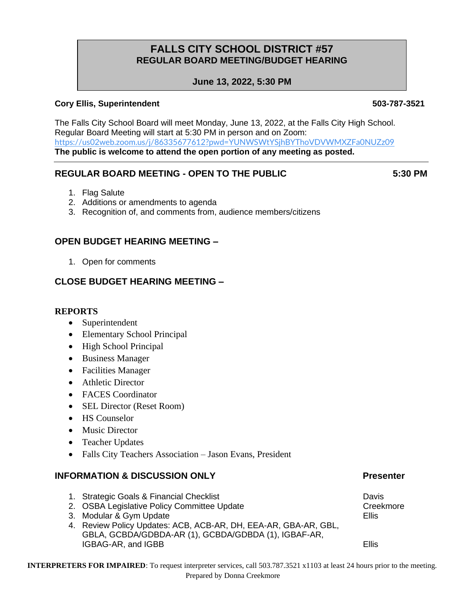# **FALLS CITY SCHOOL DISTRICT #57 REGULAR BOARD MEETING/BUDGET HEARING**

## **June 13, 2022, 5:30 PM**

### **Cory Ellis, Superintendent 503-787-3521**

The Falls City School Board will meet Monday, June 13, 2022, at the Falls City High School. Regular Board Meeting will start at 5:30 PM in person and on Zoom: <https://us02web.zoom.us/j/86335677612?pwd=YUNWSWtYSjhBYThoVDVWMXZFa0NUZz09> **The public is welcome to attend the open portion of any meeting as posted.**

## **REGULAR BOARD MEETING - OPEN TO THE PUBLIC 5:30 PM**

- 1. Flag Salute
- 2. Additions or amendments to agenda
- 3. Recognition of, and comments from, audience members/citizens

## **OPEN BUDGET HEARING MEETING –**

1. Open for comments

## **CLOSE BUDGET HEARING MEETING –**

#### **REPORTS**

- Superintendent
- Elementary School Principal
- High School Principal
- Business Manager
- Facilities Manager
- Athletic Director
- FACES Coordinator
- SEL Director (Reset Room)
- HS Counselor
- Music Director
- Teacher Updates
- Falls City Teachers Association Jason Evans, President

#### **INFORMATION & DISCUSSION ONLY EXAMPLE AND SERVICE PRESENTER**

- 1. Strategic Goals & Financial Checklist Checklist Checklist Check Check Check Davis
- 2. OSBA Legislative Policy Committee Update Creekmore Creekmore
- 3. Modular & Gym Update **Ellis** extendition of the Ellis extendition of the Ellis
- 4. Review Policy Updates: ACB, ACB-AR, DH, EEA-AR, GBA-AR, GBL, GBLA, GCBDA/GDBDA-AR (1), GCBDA/GDBDA (1), IGBAF-AR, **IGBAG-AR, and IGBB** Ellis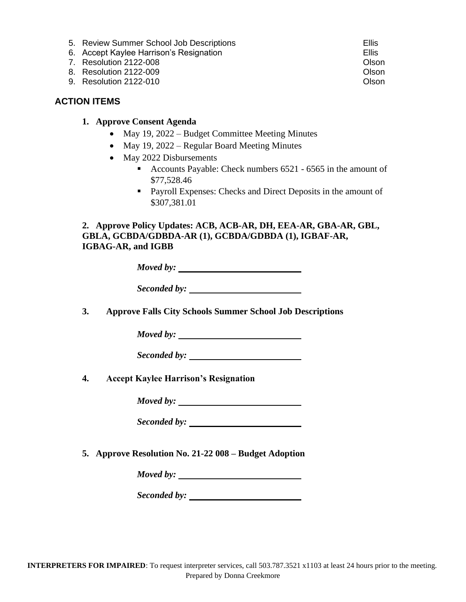- 5. Review Summer School Job Descriptions Ellis
- 6. Accept Kaylee Harrison's Resignation Ellis
- 7. Resolution 2122-008 Olson
- 8. Resolution 2122-009 Olson
- 9. Resolution 2122-010 Olson

### **ACTION ITEMS**

- **1. Approve Consent Agenda**
	- May 19, 2022 Budget Committee Meeting Minutes
	- May 19, 2022 Regular Board Meeting Minutes
	- May 2022 Disbursements
		- Accounts Payable: Check numbers 6521 6565 in the amount of \$77,528.46
		- Payroll Expenses: Checks and Direct Deposits in the amount of \$307,381.01

**2. Approve Policy Updates: ACB, ACB-AR, DH, EEA-AR, GBA-AR, GBL, GBLA, GCBDA/GDBDA-AR (1), GCBDA/GDBDA (1), IGBAF-AR, IGBAG-AR, and IGBB**

| Moved by: |  |
|-----------|--|
|           |  |

| Seconded by: |  |
|--------------|--|
|              |  |

**3. Approve Falls City Schools Summer School Job Descriptions**

*Moved by:* 

*Seconded by:* 

**4. Accept Kaylee Harrison's Resignation**

*Moved by:* 

*Seconded by:* 

**5. Approve Resolution No. 21-22 008 – Budget Adoption**

*Moved by:* 

*Seconded by:*